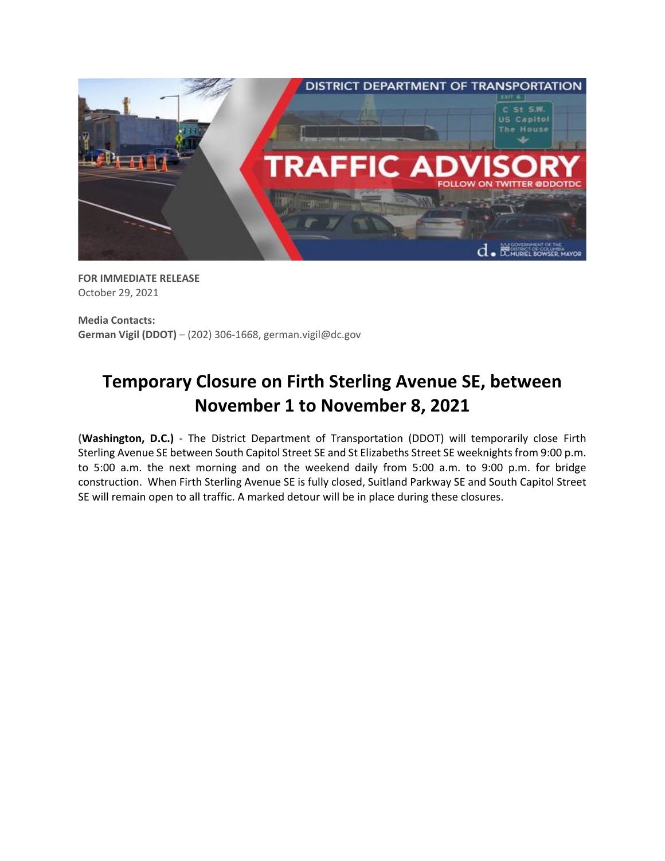

**FOR IMMEDIATE RELEASE** October 29, 2021

**Media Contacts: German Vigil (DDOT)** – (202) 306-1668, german.vigil@dc.gov

## **Temporary Closure on Firth Sterling Avenue SE, between November 1 to November 8, 2021**

**(Washington, D.C.)** - The District Department of Transportation (DDOT) will temporarily close Firth Sterling Avenue SE between South Capitol Street SE and St Elizabeths Street SE weeknights from 9:00 p.m. to 5:00 a.m. the next morning and on the weekend daily from 5:00 a.m. to 9:00 p.m. for bridge construction. When Firth Sterling Avenue SE is fully closed, Suitland Parkway SE and South Capitol Street SE will remain open to all traffic. A marked detour will be in place during these closures.